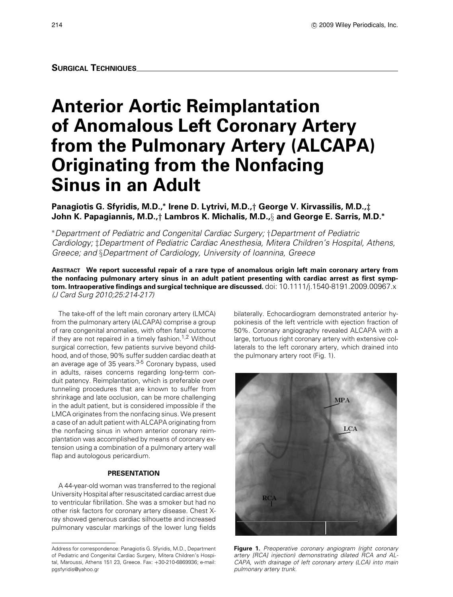# **Anterior Aortic Reimplantation of Anomalous Left Coronary Artery from the Pulmonary Artery (ALCAPA) Originating from the Nonfacing Sinus in an Adult**

# **Panagiotis G. Sfyridis, M.D.,<sup>∗</sup> Irene D. Lytrivi, M.D.,***†* **George V. Kirvassilis, M.D.,***‡* **John K. Papagiannis, M.D.,***†* **Lambros K. Michalis, M.D.,**§ **and George E. Sarris, M.D.<sup>∗</sup>**

<sup>∗</sup>*Department of Pediatric and Congenital Cardiac Surgery;* †*Department of Pediatric Cardiology;* ‡*Department of Pediatric Cardiac Anesthesia, Mitera Children's Hospital, Athens, Greece; and* §*Department of Cardiology, University of Ioannina, Greece*

**ABSTRACT We report successful repair of a rare type of anomalous origin left main coronary artery from the nonfacing pulmonary artery sinus in an adult patient presenting with cardiac arrest as first symptom. Intraoperative findings and surgical technique are discussed.** *doi: 10.1111/j.1540-8191.2009.00967.x (J Card Surg 2010;25:214-217)*

*The take-off of the left main coronary artery (LMCA) from the pulmonary artery (ALCAPA) comprise a group of rare congenital anomalies, with often fatal outcome if they are not repaired in a timely fashion.1,2 Without surgical correction, few patients survive beyond childhood, and of those, 90% suffer sudden cardiac death at an average age of 35 years.3-5 Coronary bypass, used in adults, raises concerns regarding long-term conduit patency. Reimplantation, which is preferable over tunneling procedures that are known to suffer from shrinkage and late occlusion, can be more challenging in the adult patient, but is considered impossible if the LMCA originates from the nonfacing sinus. We present a case of an adult patient with ALCAPA originating from the nonfacing sinus in whom anterior coronary reimplantation was accomplished by means of coronary extension using a combination of a pulmonary artery wall flap and autologous pericardium.*

#### **PRESENTATION**

*A 44-year-old woman was transferred to the regional University Hospital after resuscitated cardiac arrest due to ventricular fibrillation. She was a smoker but had no other risk factors for coronary artery disease. Chest Xray showed generous cardiac silhouette and increased pulmonary vascular markings of the lower lung fields*

*bilaterally. Echocardiogram demonstrated anterior hypokinesis of the left ventricle with ejection fraction of 50%. Coronary angiography revealed ALCAPA with a large, tortuous right coronary artery with extensive collaterals to the left coronary artery, which drained into the pulmonary artery root (Fig. 1).*



**Figure 1.** *Preoperative coronary angiogram (right coronary artery [RCA] injection) demonstrating dilated RCA and AL-CAPA, with drainage of left coronary artery (LCA) into main pulmonary artery trunk.*

*Address for correspondence: Panagiotis G. Sfyridis, M.D., Department of Pediatric and Congenital Cardiac Surgery, Mitera Children's Hospital, Maroussi, Athens 151 23, Greece. Fax:* +*30-210-6869936; e-mail: pgsfyridis@yahoo.gr*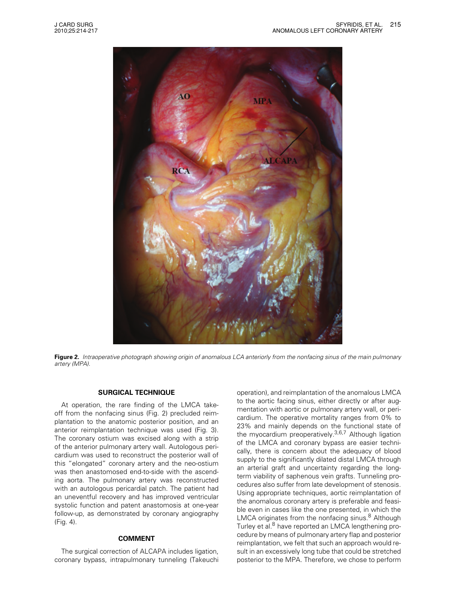

Figure 2. Intraoperative photograph showing origin of anomalous LCA anteriorly from the nonfacing sinus of the main pulmonary *artery (MPA).*

## **SURGICAL TECHNIQUE**

*At operation, the rare finding of the LMCA takeoff from the nonfacing sinus (Fig. 2) precluded reimplantation to the anatomic posterior position, and an anterior reimplantation technique was used (Fig. 3). The coronary ostium was excised along with a strip of the anterior pulmonary artery wall. Autologous pericardium was used to reconstruct the posterior wall of this "elongated" coronary artery and the neo-ostium was then anastomosed end-to-side with the ascending aorta. The pulmonary artery was reconstructed with an autologous pericardial patch. The patient had an uneventful recovery and has improved ventricular systolic function and patent anastomosis at one-year follow-up, as demonstrated by coronary angiography (Fig. 4).*

#### **COMMENT**

*The surgical correction of ALCAPA includes ligation, coronary bypass, intrapulmonary tunneling (Takeuchi*

*operation), and reimplantation of the anomalous LMCA to the aortic facing sinus, either directly or after augmentation with aortic or pulmonary artery wall, or pericardium. The operative mortality ranges from 0% to 23% and mainly depends on the functional state of the myocardium preoperatively.3,6,7 Although ligation of the LMCA and coronary bypass are easier technically, there is concern about the adequacy of blood supply to the significantly dilated distal LMCA through an arterial graft and uncertainty regarding the longterm viability of saphenous vein grafts. Tunneling procedures also suffer from late development of stenosis. Using appropriate techniques, aortic reimplantation of the anomalous coronary artery is preferable and feasible even in cases like the one presented, in which the LMCA originates from the nonfacing sinus.8 Although Turley et al.<sup>8</sup> have reported an LMCA lengthening procedure by means of pulmonary artery flap and posterior reimplantation, we felt that such an approach would result in an excessively long tube that could be stretched posterior to the MPA. Therefore, we chose to perform*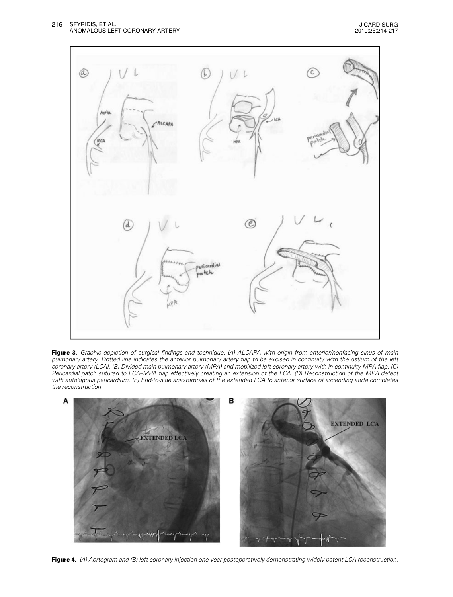

Figure 3. Graphic depiction of surgical findings and technique: (A) ALCAPA with origin from anterior/nonfacing sinus of main pulmonary artery. Dotted line indicates the anterior pulmonary artery flap to be excised in continuity with the ostium of the left coronary artery (LCA). (B) Divided main pulmonary artery (MPA) and mobilized left coronary artery with in-continuity MPA flap. (C) Pericardial patch sutured to LCA–MPA flap effectively creating an extension of the LCA. (D) Reconstruction of the MPA defect with autologous pericardium. (E) End-to-side anastomosis of the extended LCA to anterior surface of ascending aorta completes *the reconstruction.*



Figure 4. (A) Aortogram and (B) left coronary injection one-year postoperatively demonstrating widely patent LCA reconstruction.